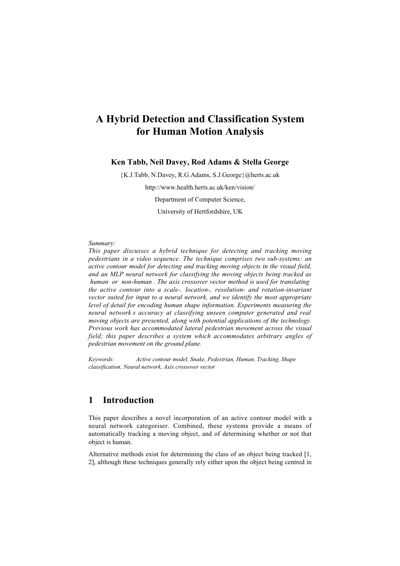# **A Hybrid Detection and Classification System for Human Motion Analysis**

**Ken Tabb, Neil Davey, Rod Adams & Stella George**

{K.J.Tabb, N.Davey, R.G.Adams, S.J.George}@herts.ac.uk http://www.health.herts.ac.uk/ken/vision/ Department of Computer Science, University of Hertfordshire, UK

#### *Summary:*

*This paper discusses a hybrid technique for detecting and tracking moving pedestrians in a video sequence. The technique comprises two sub-systems: an active contour model for detecting and tracking moving objects in the visual field, and an MLP neural network for classifying the moving objects being tracked as human or non-human . The axis crossover vector method is used for translating the active contour into a scale-. location-, resolution- and rotation-invariant vector suited for input to a neural network, and we identify the most appropriate level of detail for encoding human shape information. Experiments measuring the neural network s accuracy at classifying unseen computer generated and real moving objects are presented, along with potential applications of the technology. Previous work has accommodated lateral pedestrian movement across the visual field; this paper describes a system which accommodates arbitrary angles of pedestrian movement on the ground plane.*

*Keywords: Active contour model, Snake, Pedestrian, Human, Tracking, Shape classification, Neural network, Axis crossover vector*

### **1 Introduction**

This paper describes a novel incorporation of an active contour model with a neural network categoriser. Combined, these systems provide a means of automatically tracking a moving object, and of determining whether or not that object is human.

Alternative methods exist for determining the class of an object being tracked [1, 2], although these techniques generally rely either upon the object being centred in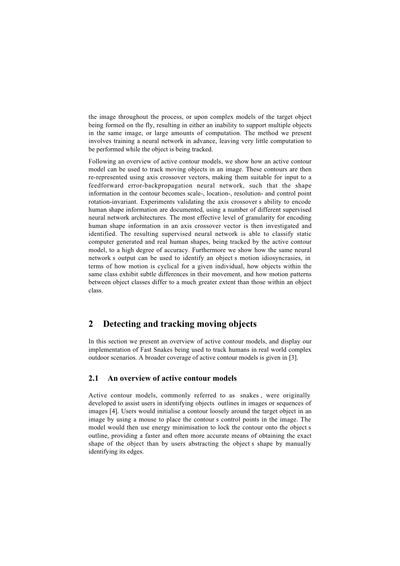the image throughout the process, or upon complex models of the target object being formed on the fly, resulting in either an inability to support multiple objects in the same image, or large amounts of computation. The method we present involves training a neural network in advance, leaving very little computation to be performed while the object is being tracked.

Following an overview of active contour models, we show how an active contour model can be used to track moving objects in an image. These contours are then re-represented using axis crossover vectors, making them suitable for input to a feedforward error-backpropagation neural network, such that the shape information in the contour becomes scale-, location-, resolution- and control point rotation-invariant. Experiments validating the axis crossover s ability to encode human shape information are documented, using a number of different supervised neural network architectures. The most effective level of granularity for encoding human shape information in an axis crossover vector is then investigated and identified. The resulting supervised neural network is able to classify static computer generated and real human shapes, being tracked by the active contour model, to a high degree of accuracy. Furthermore we show how the same neural network s output can be used to identify an object s motion idiosyncrasies, in terms of how motion is cyclical for a given individual, how objects within the same class exhibit subtle differences in their movement, and how motion patterns between object classes differ to a much greater extent than those within an object class.

## **2 Detecting and tracking moving objects**

In this section we present an overview of active contour models, and display our implementation of Fast Snakes being used to track humans in real world complex outdoor scenarios. A broader coverage of active contour models is given in [3].

### **2.1 An overview of active contour models**

Active contour models, commonly referred to as snakes , were originally developed to assist users in identifying objects outlines in images or sequences of images [4]. Users would initialise a contour loosely around the target object in an image by using a mouse to place the contour s control points in the image. The model would then use energy minimisation to lock the contour onto the object s outline, providing a faster and often more accurate means of obtaining the exact shape of the object than by users abstracting the object s shape by manually identifying its edges.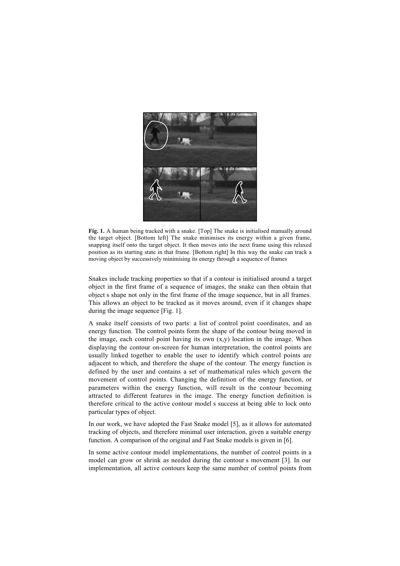

Fig. 1. A human being tracked with a snake. [Top] The snake is initialised manually around the target object. [Bottom left] The snake minimises its energy within a given frame, snapping itself onto the target object. It then moves into the next frame using this relaxed position as its starting state in that frame. [Bottom right] In this way the snake can track a moving object by successively minimising its energy through a sequence of frames

Snakes include tracking properties so that if a contour is initialised around a target object in the first frame of a sequence of images, the snake can then obtain that object s shape not only in the first frame of the image sequence, but in all frames. This allows an object to be tracked as it moves around, even if it changes shape during the image sequence [Fig. 1].

A snake itself consists of two parts: a list of control point coordinates, and an energy function. The control points form the shape of the contour being moved in the image, each control point having its own  $(x,y)$  location in the image. When displaying the contour on-screen for human interpretation, the control points are usually linked together to enable the user to identify which control points are adjacent to which, and therefore the shape of the contour. The energy function is defined by the user and contains a set of mathematical rules which govern the movement of control points. Changing the definition of the energy function, or parameters within the energy function, will result in the contour becoming attracted to different features in the image. The energy function definition is therefore critical to the active contour model s success at being able to lock onto particular types of object.

In our work, we have adopted the Fast Snake model [5], as it allows for automated tracking of objects, and therefore minimal user interaction, given a suitable energy function. A comparison of the original and Fast Snake models is given in [6].

In some active contour model implementations, the number of control points in a model can grow or shrink as needed during the contour s movement [3]. In our implementation, all active contours keep the same number of control points from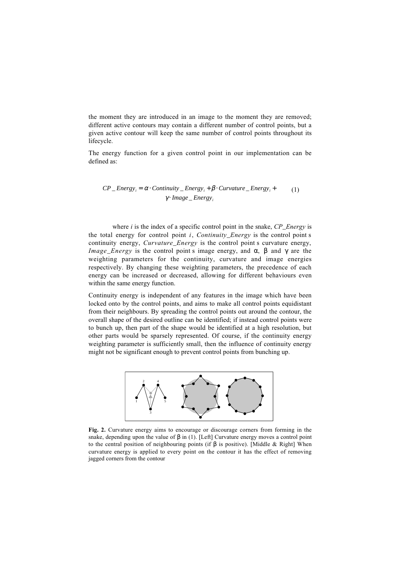the moment they are introduced in an image to the moment they are removed; different active contours may contain a different number of control points, but a given active contour will keep the same number of control points throughout its lifecycle.

The energy function for a given control point in our implementation can be defined as:

#### $CP$  *\_ Energy*<sub>*i*</sub> =  $\alpha$  · Continuity *\_ Energy*<sub>*i*</sub> +  $\beta$  · Curvature *\_ Energy*<sub>*i*</sub> + γ· Image \_ Energy<sub>i</sub> (1)

where *i* is the index of a specific control point in the snake, *CP\_Energy* is the total energy for control point  $i$ , *Continuity Energy* is the control point s continuity energy, *Curvature\_Energy* is the control point s curvature energy, *Image\_Energy* is the control point s image energy, and  $\alpha$ ,  $\beta$  and  $\gamma$  are the weighting parameters for the continuity, curvature and image energies respectively. By changing these weighting parameters, the precedence of each energy can be increased or decreased, allowing for different behaviours even within the same energy function.

Continuity energy is independent of any features in the image which have been locked onto by the control points, and aims to make all control points equidistant from their neighbours. By spreading the control points out around the contour, the overall shape of the desired outline can be identified; if instead control points were to bunch up, then part of the shape would be identified at a high resolution, but other parts would be sparsely represented. Of course, if the continuity energy weighting parameter is sufficiently small, then the influence of continuity energy might not be significant enough to prevent control points from bunching up.



**Fig. 2.** Curvature energy aims to encourage or discourage corners from forming in the snake, depending upon the value of β in (1). [Left] Curvature energy moves a control point to the central position of neighbouring points (if β is positive). [Middle & Right] When curvature energy is applied to every point on the contour it has the effect of removing jagged corners from the contour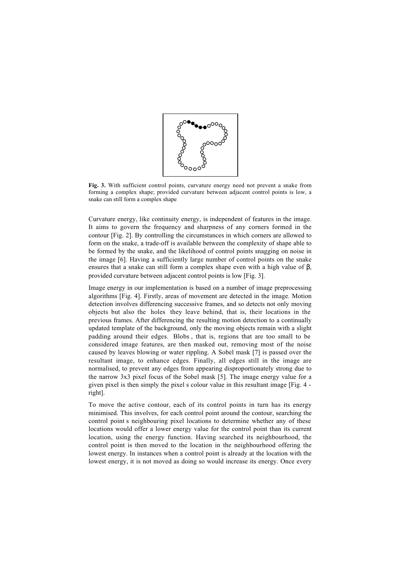

**Fig. 3.** With sufficient control points, curvature energy need not prevent a snake from forming a complex shape; provided curvature between adjacent control points is low, a snake can still form a complex shape

Curvature energy, like continuity energy, is independent of features in the image. It aims to govern the frequency and sharpness of any corners formed in the contour [Fig. 2]. By controlling the circumstances in which corners are allowed to form on the snake, a trade-off is available between the complexity of shape able to be formed by the snake, and the likelihood of control points snagging on noise in the image [6]. Having a sufficiently large number of control points on the snake ensures that a snake can still form a complex shape even with a high value of  $\beta$ , provided curvature between adjacent control points is low [Fig. 3].

Image energy in our implementation is based on a number of image preprocessing algorithms [Fig. 4]. Firstly, areas of movement are detected in the image. Motion detection involves differencing successive frames, and so detects not only moving objects but also the holes they leave behind, that is, their locations in the previous frames. After differencing the resulting motion detection to a continually updated template of the background, only the moving objects remain with a slight padding around their edges. Blobs , that is, regions that are too small to be considered image features, are then masked out, removing most of the noise caused by leaves blowing or water rippling. A Sobel mask [7] is passed over the resultant image, to enhance edges. Finally, all edges still in the image are normalised, to prevent any edges from appearing disproportionately strong due to the narrow 3x3 pixel focus of the Sobel mask [5]. The image energy value for a given pixel is then simply the pixel s colour value in this resultant image [Fig. 4 right].

To move the active contour, each of its control points in turn has its energy minimised. This involves, for each control point around the contour, searching the control point s neighbouring pixel locations to determine whether any of these locations would offer a lower energy value for the control point than its current location, using the energy function. Having searched its neighbourhood, the control point is then moved to the location in the neighbourhood offering the lowest energy. In instances when a control point is already at the location with the lowest energy, it is not moved as doing so would increase its energy. Once every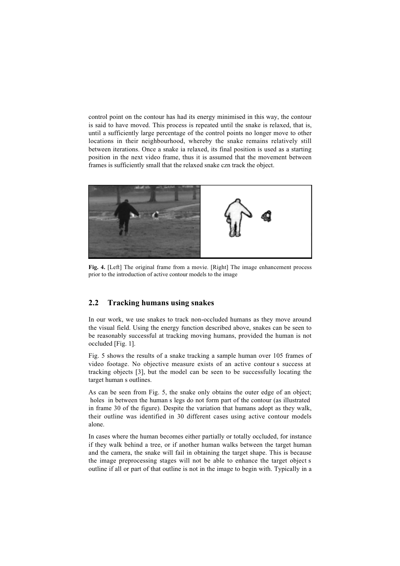control point on the contour has had its energy minimised in this way, the contour is said to have moved. This process is repeated until the snake is relaxed, that is, until a sufficiently large percentage of the control points no longer move to other locations in their neighbourhood, whereby the snake remains relatively still between iterations. Once a snake ia relaxed, its final position is used as a starting position in the next video frame, thus it is assumed that the movement between frames is sufficiently small that the relaxed snake czn track the object.



**Fig. 4.** [Left] The original frame from a movie. [Right] The image enhancement process prior to the introduction of active contour models to the image

#### **2.2 Tracking humans using snakes**

In our work, we use snakes to track non-occluded humans as they move around the visual field. Using the energy function described above, snakes can be seen to be reasonably successful at tracking moving humans, provided the human is not occluded [Fig. 1].

Fig. 5 shows the results of a snake tracking a sample human over 105 frames of video footage. No objective measure exists of an active contour s success at tracking objects [3], but the model can be seen to be successfully locating the target human s outlines.

As can be seen from Fig. 5, the snake only obtains the outer edge of an object; holes in between the human s legs do not form part of the contour (as illustrated in frame 30 of the figure). Despite the variation that humans adopt as they walk, their outline was identified in 30 different cases using active contour models alone.

In cases where the human becomes either partially or totally occluded, for instance if they walk behind a tree, or if another human walks between the target human and the camera, the snake will fail in obtaining the target shape. This is because the image preprocessing stages will not be able to enhance the target object s outline if all or part of that outline is not in the image to begin with. Typically in a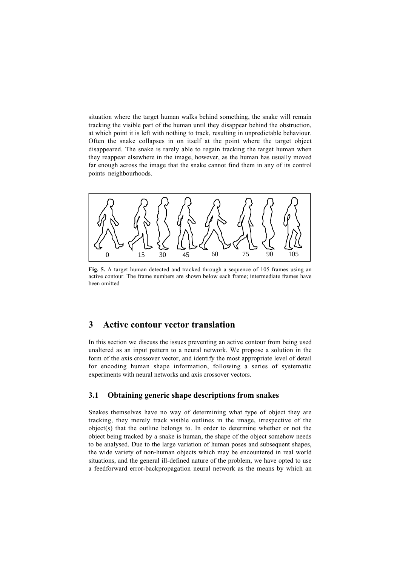situation where the target human walks behind something, the snake will remain tracking the visible part of the human until they disappear behind the obstruction, at which point it is left with nothing to track, resulting in unpredictable behaviour. Often the snake collapses in on itself at the point where the target object disappeared. The snake is rarely able to regain tracking the target human when they reappear elsewhere in the image, however, as the human has usually moved far enough across the image that the snake cannot find them in any of its control points neighbourhoods.



**Fig. 5.** A target human detected and tracked through a sequence of 105 frames using an active contour. The frame numbers are shown below each frame; intermediate frames have been omitted

### **3 Active contour vector translation**

In this section we discuss the issues preventing an active contour from being used unaltered as an input pattern to a neural network. We propose a solution in the form of the axis crossover vector, and identify the most appropriate level of detail for encoding human shape information, following a series of systematic experiments with neural networks and axis crossover vectors.

### **3.1 Obtaining generic shape descriptions from snakes**

Snakes themselves have no way of determining what type of object they are tracking, they merely track visible outlines in the image, irrespective of the object(s) that the outline belongs to. In order to determine whether or not the object being tracked by a snake is human, the shape of the object somehow needs to be analysed. Due to the large variation of human poses and subsequent shapes, the wide variety of non-human objects which may be encountered in real world situations, and the general ill-defined nature of the problem, we have opted to use a feedforward error-backpropagation neural network as the means by which an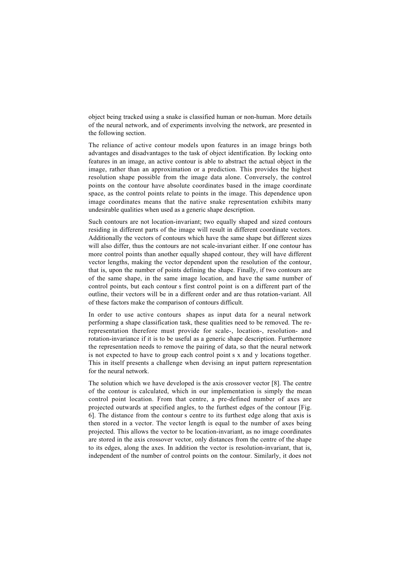object being tracked using a snake is classified human or non-human. More details of the neural network, and of experiments involving the network, are presented in the following section.

The reliance of active contour models upon features in an image brings both advantages and disadvantages to the task of object identification. By locking onto features in an image, an active contour is able to abstract the actual object in the image, rather than an approximation or a prediction. This provides the highest resolution shape possible from the image data alone. Conversely, the control points on the contour have absolute coordinates based in the image coordinate space, as the control points relate to points in the image. This dependence upon image coordinates means that the native snake representation exhibits many undesirable qualities when used as a generic shape description.

Such contours are not location-invariant; two equally shaped and sized contours residing in different parts of the image will result in different coordinate vectors. Additionally the vectors of contours which have the same shape but different sizes will also differ, thus the contours are not scale-invariant either. If one contour has more control points than another equally shaped contour, they will have different vector lengths, making the vector dependent upon the resolution of the contour, that is, upon the number of points defining the shape. Finally, if two contours are of the same shape, in the same image location, and have the same number of control points, but each contour s first control point is on a different part of the outline, their vectors will be in a different order and are thus rotation-variant. All of these factors make the comparison of contours difficult.

In order to use active contours shapes as input data for a neural network performing a shape classification task, these qualities need to be removed. The rerepresentation therefore must provide for scale-, location-, resolution- and rotation-invariance if it is to be useful as a generic shape description. Furthermore the representation needs to remove the pairing of data, so that the neural network is not expected to have to group each control point s x and y locations together. This in itself presents a challenge when devising an input pattern representation for the neural network.

The solution which we have developed is the axis crossover vector [8]. The centre of the contour is calculated, which in our implementation is simply the mean control point location. From that centre, a pre-defined number of axes are projected outwards at specified angles, to the furthest edges of the contour [Fig. 6]. The distance from the contour s centre to its furthest edge along that axis is then stored in a vector. The vector length is equal to the number of axes being projected. This allows the vector to be location-invariant, as no image coordinates are stored in the axis crossover vector, only distances from the centre of the shape to its edges, along the axes. In addition the vector is resolution-invariant, that is, independent of the number of control points on the contour. Similarly, it does not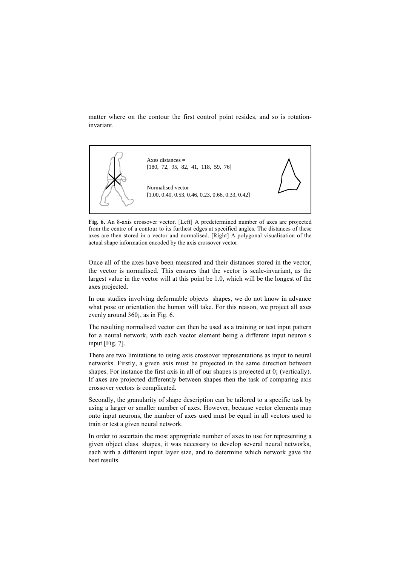matter where on the contour the first control point resides, and so is rotationinvariant.



**Fig. 6.** An 8-axis crossover vector. [Left] A predetermined number of axes are projected from the centre of a contour to its furthest edges at specified angles. The distances of these axes are then stored in a vector and normalised. [Right] A polygonal visualisation of the actual shape information encoded by the axis crossover vector

Once all of the axes have been measured and their distances stored in the vector, the vector is normalised. This ensures that the vector is scale-invariant, as the largest value in the vector will at this point be 1.0, which will be the longest of the axes projected.

In our studies involving deformable objects shapes, we do not know in advance what pose or orientation the human will take. For this reason, we project all axes evenly around 360¡, as in Fig. 6.

The resulting normalised vector can then be used as a training or test input pattern for a neural network, with each vector element being a different input neuron s input [Fig. 7].

There are two limitations to using axis crossover representations as input to neural networks. Firstly, a given axis must be projected in the same direction between shapes. For instance the first axis in all of our shapes is projected at 0¡ (vertically). If axes are projected differently between shapes then the task of comparing axis crossover vectors is complicated.

Secondly, the granularity of shape description can be tailored to a specific task by using a larger or smaller number of axes. However, because vector elements map onto input neurons, the number of axes used must be equal in all vectors used to train or test a given neural network.

In order to ascertain the most appropriate number of axes to use for representing a given object class shapes, it was necessary to develop several neural networks, each with a different input layer size, and to determine which network gave the best results.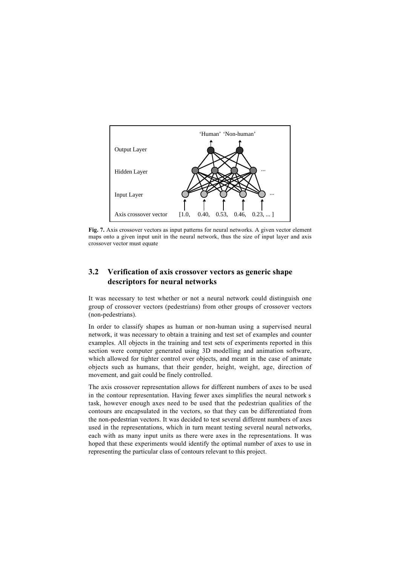

**Fig. 7.** Axis crossover vectors as input patterns for neural networks. A given vector element maps onto a given input unit in the neural network, thus the size of input layer and axis crossover vector must equate

### **3.2 Verification of axis crossover vectors as generic shape descriptors for neural networks**

It was necessary to test whether or not a neural network could distinguish one group of crossover vectors (pedestrians) from other groups of crossover vectors (non-pedestrians).

In order to classify shapes as human or non-human using a supervised neural network, it was necessary to obtain a training and test set of examples and counter examples. All objects in the training and test sets of experiments reported in this section were computer generated using 3D modelling and animation software, which allowed for tighter control over objects, and meant in the case of animate objects such as humans, that their gender, height, weight, age, direction of movement, and gait could be finely controlled.

The axis crossover representation allows for different numbers of axes to be used in the contour representation. Having fewer axes simplifies the neural network s task, however enough axes need to be used that the pedestrian qualities of the contours are encapsulated in the vectors, so that they can be differentiated from the non-pedestrian vectors. It was decided to test several different numbers of axes used in the representations, which in turn meant testing several neural networks, each with as many input units as there were axes in the representations. It was hoped that these experiments would identify the optimal number of axes to use in representing the particular class of contours relevant to this project.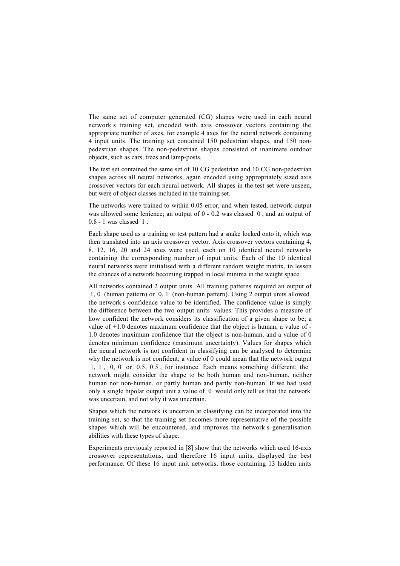The same set of computer generated (CG) shapes were used in each neural network s training set, encoded with axis crossover vectors containing the appropriate number of axes, for example 4 axes for the neural network containing 4 input units. The training set contained 150 pedestrian shapes, and 150 nonpedestrian shapes. The non-pedestrian shapes consisted of inanimate outdoor objects, such as cars, trees and lamp-posts.

The test set contained the same set of 10 CG pedestrian and 10 CG non-pedestrian shapes across all neural networks, again encoded using appropriately sized axis crossover vectors for each neural network. All shapes in the test set were unseen, but were of object classes included in the training set.

The networks were trained to within 0.05 error, and when tested, network output was allowed some lenience; an output of 0 - 0.2 was classed 0 , and an output of 0.8 - 1 was classed 1 .

Each shape used as a training or test pattern had a snake locked onto it, which was then translated into an axis crossover vector. Axis crossover vectors containing 4, 8, 12, 16, 20 and 24 axes were used, each on 10 identical neural networks containing the corresponding number of input units. Each of the 10 identical neural networks were initialised with a different random weight matrix, to lessen the chances of a network becoming trapped in local minima in the weight space.

All networks contained 2 output units. All training patterns required an output of 1, 0 (human pattern) or 0, 1 (non-human pattern). Using 2 output units allowed the network s confidence value to be identified. The confidence value is simply the difference between the two output units values. This provides a measure of how confident the network considers its classification of a given shape to be; a value of  $+1.0$  denotes maximum confidence that the object is human, a value of -1.0 denotes maximum confidence that the object is non-human, and a value of 0 denotes minimum confidence (maximum uncertainty). Values for shapes which the neural network is not confident in classifying can be analysed to determine why the network is not confident; a value of 0 could mean that the network output 1, 1 , 0, 0 or 0.5, 0.5 , for instance. Each means something different; the network might consider the shape to be both human and non-human, neither human nor non-human, or partly human and partly non-human. If we had used only a single bipolar output unit a value of 0 would only tell us that the network was uncertain, and not why it was uncertain.

Shapes which the network is uncertain at classifying can be incorporated into the training set, so that the training set becomes more representative of the possible shapes which will be encountered, and improves the network s generalisation abilities with these types of shape.

Experiments previously reported in [8] show that the networks which used 16-axis crossover representations, and therefore 16 input units, displayed the best performance. Of these 16 input unit networks, those containing 13 hidden units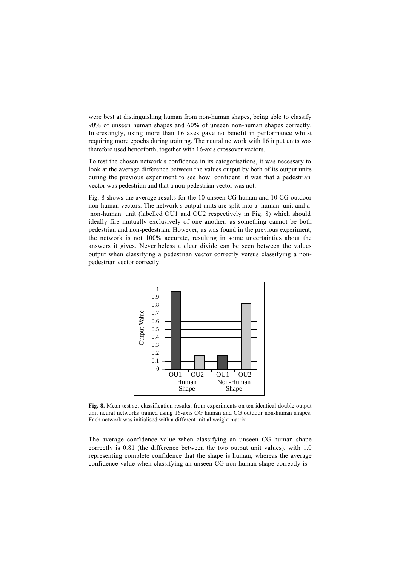were best at distinguishing human from non-human shapes, being able to classify 90% of unseen human shapes and 60% of unseen non-human shapes correctly. Interestingly, using more than 16 axes gave no benefit in performance whilst requiring more epochs during training. The neural network with 16 input units was therefore used henceforth, together with 16-axis crossover vectors.

To test the chosen network s confidence in its categorisations, it was necessary to look at the average difference between the values output by both of its output units during the previous experiment to see how confident it was that a pedestrian vector was pedestrian and that a non-pedestrian vector was not.

Fig. 8 shows the average results for the 10 unseen CG human and 10 CG outdoor non-human vectors. The network s output units are split into a human unit and a non-human unit (labelled OU1 and OU2 respectively in Fig. 8) which should ideally fire mutually exclusively of one another, as something cannot be both pedestrian and non-pedestrian. However, as was found in the previous experiment, the network is not 100% accurate, resulting in some uncertainties about the answers it gives. Nevertheless a clear divide can be seen between the values output when classifying a pedestrian vector correctly versus classifying a nonpedestrian vector correctly.



**Fig. 8.** Mean test set classification results, from experiments on ten identical double output unit neural networks trained using 16-axis CG human and CG outdoor non-human shapes. Each network was initialised with a different initial weight matrix

The average confidence value when classifying an unseen CG human shape correctly is 0.81 (the difference between the two output unit values), with 1.0 representing complete confidence that the shape is human, whereas the average confidence value when classifying an unseen CG non-human shape correctly is -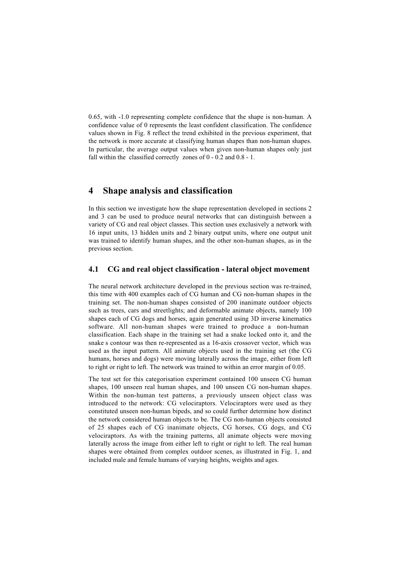0.65, with -1.0 representing complete confidence that the shape is non-human. A confidence value of 0 represents the least confident classification. The confidence values shown in Fig. 8 reflect the trend exhibited in the previous experiment, that the network is more accurate at classifying human shapes than non-human shapes. In particular, the average output values when given non-human shapes only just fall within the classified correctly zones of 0 - 0.2 and 0.8 - 1.

## **4 Shape analysis and classification**

In this section we investigate how the shape representation developed in sections 2 and 3 can be used to produce neural networks that can distinguish between a variety of CG and real object classes. This section uses exclusively a network with 16 input units, 13 hidden units and 2 binary output units, where one output unit was trained to identify human shapes, and the other non-human shapes, as in the previous section.

#### **4.1 CG and real object classification - lateral object movement**

The neural network architecture developed in the previous section was re-trained, this time with 400 examples each of CG human and CG non-human shapes in the training set. The non-human shapes consisted of 200 inanimate outdoor objects such as trees, cars and streetlights; and deformable animate objects, namely 100 shapes each of CG dogs and horses, again generated using 3D inverse kinematics software. All non-human shapes were trained to produce a non-human classification. Each shape in the training set had a snake locked onto it, and the snake s contour was then re-represented as a 16-axis crossover vector, which was used as the input pattern. All animate objects used in the training set (the CG humans, horses and dogs) were moving laterally across the image, either from left to right or right to left. The network was trained to within an error margin of 0.05.

The test set for this categorisation experiment contained 100 unseen CG human shapes, 100 unseen real human shapes, and 100 unseen CG non-human shapes. Within the non-human test patterns, a previously unseen object class was introduced to the network: CG velociraptors. Velociraptors were used as they constituted unseen non-human bipeds, and so could further determine how distinct the network considered human objects to be. The CG non-human objects consisted of 25 shapes each of CG inanimate objects, CG horses, CG dogs, and CG velociraptors. As with the training patterns, all animate objects were moving laterally across the image from either left to right or right to left. The real human shapes were obtained from complex outdoor scenes, as illustrated in Fig. 1, and included male and female humans of varying heights, weights and ages.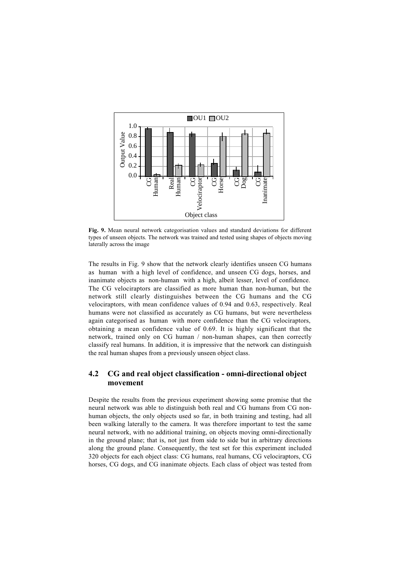

**Fig. 9.** Mean neural network categorisation values and standard deviations for different types of unseen objects. The network was trained and tested using shapes of objects moving laterally across the image

The results in Fig. 9 show that the network clearly identifies unseen CG humans as human with a high level of confidence, and unseen CG dogs, horses, and inanimate objects as non-human with a high, albeit lesser, level of confidence. The CG velociraptors are classified as more human than non-human, but the network still clearly distinguishes between the CG humans and the CG velociraptors, with mean confidence values of 0.94 and 0.63, respectively. Real humans were not classified as accurately as CG humans, but were nevertheless again categorised as human with more confidence than the CG velociraptors, obtaining a mean confidence value of 0.69. It is highly significant that the network, trained only on CG human / non-human shapes, can then correctly classify real humans. In addition, it is impressive that the network can distinguish the real human shapes from a previously unseen object class.

### **4.2 CG and real object classification - omni-directional object movement**

Despite the results from the previous experiment showing some promise that the neural network was able to distinguish both real and CG humans from CG nonhuman objects, the only objects used so far, in both training and testing, had all been walking laterally to the camera. It was therefore important to test the same neural network, with no additional training, on objects moving omni-directionally in the ground plane; that is, not just from side to side but in arbitrary directions along the ground plane. Consequently, the test set for this experiment included 320 objects for each object class: CG humans, real humans, CG velociraptors, CG horses, CG dogs, and CG inanimate objects. Each class of object was tested from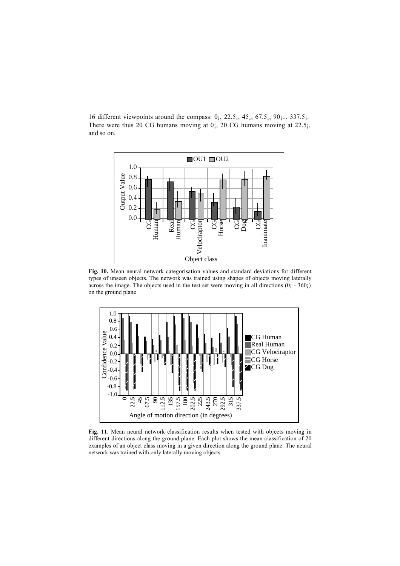



**Fig. 10.** Mean neural network categorisation values and standard deviations for different types of unseen objects. The network was trained using shapes of objects moving laterally across the image. The objects used in the test set were moving in all directions  $(0<sub>i</sub> - 360<sub>i</sub>)$ on the ground plane



**Fig. 11.** Mean neural network classification results when tested with objects moving in different directions along the ground plane. Each plot shows the mean classification of 20 examples of an object class moving in a given direction along the ground plane. The neural network was trained with only laterally moving objects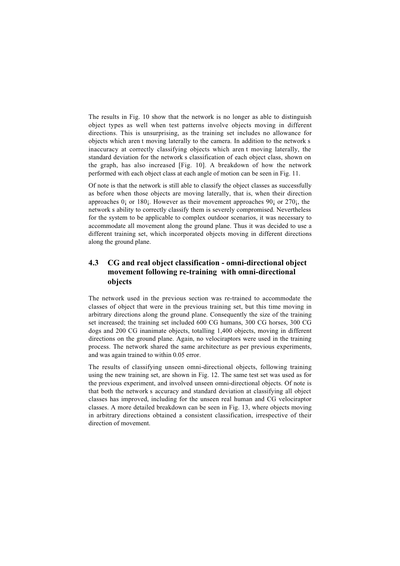The results in Fig. 10 show that the network is no longer as able to distinguish object types as well when test patterns involve objects moving in different directions. This is unsurprising, as the training set includes no allowance for objects which aren t moving laterally to the camera. In addition to the network s inaccuracy at correctly classifying objects which aren t moving laterally, the standard deviation for the network s classification of each object class, shown on the graph, has also increased [Fig. 10]. A breakdown of how the network performed with each object class at each angle of motion can be seen in Fig. 11.

Of note is that the network is still able to classify the object classes as successfully as before when those objects are moving laterally, that is, when their direction approaches  $0<sub>i</sub>$  or 180<sub>i</sub>. However as their movement approaches  $90<sub>i</sub>$  or 270<sub>i</sub>, the network s ability to correctly classify them is severely compromised. Nevertheless for the system to be applicable to complex outdoor scenarios, it was necessary to accommodate all movement along the ground plane. Thus it was decided to use a different training set, which incorporated objects moving in different directions along the ground plane.

## **4.3 CG and real object classification - omni-directional object movement following re-training with omni-directional objects**

The network used in the previous section was re-trained to accommodate the classes of object that were in the previous training set, but this time moving in arbitrary directions along the ground plane. Consequently the size of the training set increased; the training set included 600 CG humans, 300 CG horses, 300 CG dogs and 200 CG inanimate objects, totalling 1,400 objects, moving in different directions on the ground plane. Again, no velociraptors were used in the training process. The network shared the same architecture as per previous experiments, and was again trained to within 0.05 error.

The results of classifying unseen omni-directional objects, following training using the new training set, are shown in Fig. 12. The same test set was used as for the previous experiment, and involved unseen omni-directional objects. Of note is that both the network s accuracy and standard deviation at classifying all object classes has improved, including for the unseen real human and CG velociraptor classes. A more detailed breakdown can be seen in Fig. 13, where objects moving in arbitrary directions obtained a consistent classification, irrespective of their direction of movement.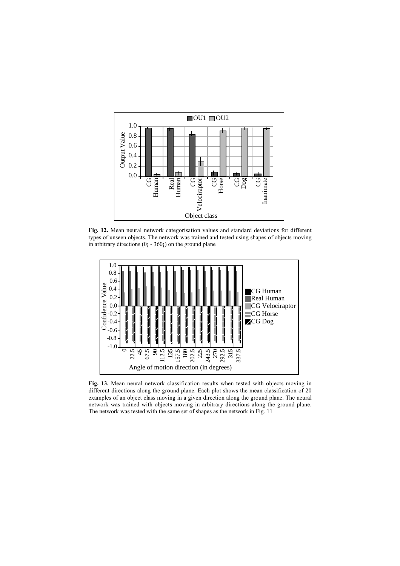

**Fig. 12.** Mean neural network categorisation values and standard deviations for different types of unseen objects. The network was trained and tested using shapes of objects moving in arbitrary directions  $(0<sub>i</sub> - 360<sub>i</sub>)$  on the ground plane



**Fig. 13.** Mean neural network classification results when tested with objects moving in different directions along the ground plane. Each plot shows the mean classification of 20 examples of an object class moving in a given direction along the ground plane. The neural network was trained with objects moving in arbitrary directions along the ground plane. The network was tested with the same set of shapes as the network in Fig. 11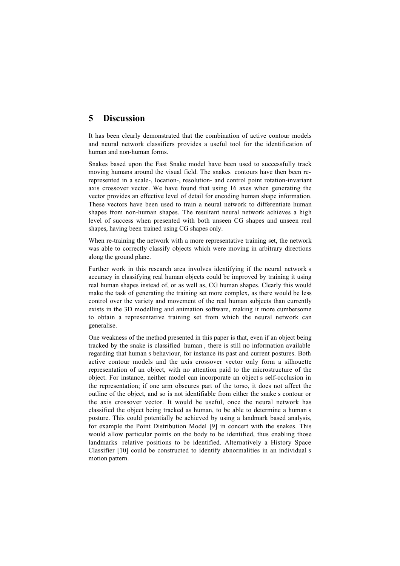## **5 Discussion**

It has been clearly demonstrated that the combination of active contour models and neural network classifiers provides a useful tool for the identification of human and non-human forms.

Snakes based upon the Fast Snake model have been used to successfully track moving humans around the visual field. The snakes contours have then been rerepresented in a scale-, location-, resolution- and control point rotation-invariant axis crossover vector. We have found that using 16 axes when generating the vector provides an effective level of detail for encoding human shape information. These vectors have been used to train a neural network to differentiate human shapes from non-human shapes. The resultant neural network achieves a high level of success when presented with both unseen CG shapes and unseen real shapes, having been trained using CG shapes only.

When re-training the network with a more representative training set, the network was able to correctly classify objects which were moving in arbitrary directions along the ground plane.

Further work in this research area involves identifying if the neural network s accuracy in classifying real human objects could be improved by training it using real human shapes instead of, or as well as, CG human shapes. Clearly this would make the task of generating the training set more complex, as there would be less control over the variety and movement of the real human subjects than currently exists in the 3D modelling and animation software, making it more cumbersome to obtain a representative training set from which the neural network can generalise.

One weakness of the method presented in this paper is that, even if an object being tracked by the snake is classified human , there is still no information available regarding that human s behaviour, for instance its past and current postures. Both active contour models and the axis crossover vector only form a silhouette representation of an object, with no attention paid to the microstructure of the object. For instance, neither model can incorporate an object s self-occlusion in the representation; if one arm obscures part of the torso, it does not affect the outline of the object, and so is not identifiable from either the snake s contour or the axis crossover vector. It would be useful, once the neural network has classified the object being tracked as human, to be able to determine a human s posture. This could potentially be achieved by using a landmark based analysis, for example the Point Distribution Model [9] in concert with the snakes. This would allow particular points on the body to be identified, thus enabling those landmarks relative positions to be identified. Alternatively a History Space Classifier [10] could be constructed to identify abnormalities in an individual s motion pattern.